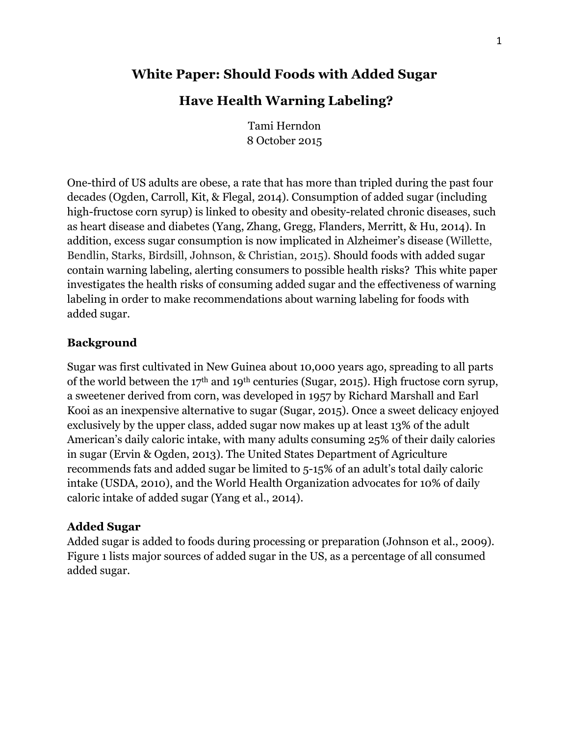## **White Paper: Should Foods with Added Sugar**

## **Have Health Warning Labeling?**

Tami Herndon 8 October 2015

One-third of US adults are obese, a rate that has more than tripled during the past four decades (Ogden, Carroll, Kit, & Flegal, 2014). Consumption of added sugar (including high-fructose corn syrup) is linked to obesity and obesity-related chronic diseases, such as heart disease and diabetes (Yang, Zhang, Gregg, Flanders, Merritt, & Hu, 2014). In addition, excess sugar consumption is now implicated in Alzheimer's disease (Willette, Bendlin, Starks, Birdsill, Johnson, & Christian, 2015). Should foods with added sugar contain warning labeling, alerting consumers to possible health risks? This white paper investigates the health risks of consuming added sugar and the effectiveness of warning labeling in order to make recommendations about warning labeling for foods with added sugar.

### **Background**

Sugar was first cultivated in New Guinea about 10,000 years ago, spreading to all parts of the world between the 17th and 19th centuries (Sugar, 2015). High fructose corn syrup, a sweetener derived from corn, was developed in 1957 by Richard Marshall and Earl Kooi as an inexpensive alternative to sugar (Sugar, 2015). Once a sweet delicacy enjoyed exclusively by the upper class, added sugar now makes up at least 13% of the adult American's daily caloric intake, with many adults consuming 25% of their daily calories in sugar (Ervin & Ogden, 2013). The United States Department of Agriculture recommends fats and added sugar be limited to 5-15% of an adult's total daily caloric intake (USDA, 2010), and the World Health Organization advocates for 10% of daily caloric intake of added sugar (Yang et al., 2014).

### **Added Sugar**

Added sugar is added to foods during processing or preparation (Johnson et al., 2009). Figure 1 lists major sources of added sugar in the US, as a percentage of all consumed added sugar.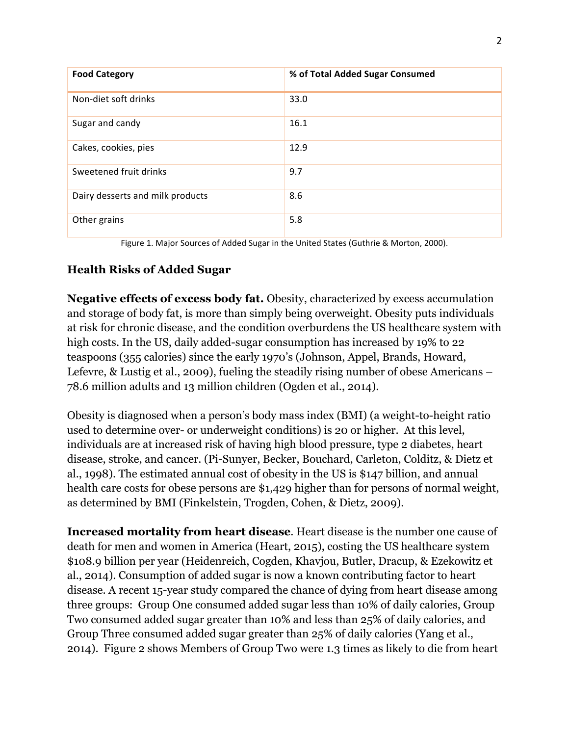| <b>Food Category</b>             | % of Total Added Sugar Consumed |
|----------------------------------|---------------------------------|
| Non-diet soft drinks             | 33.0                            |
| Sugar and candy                  | 16.1                            |
| Cakes, cookies, pies             | 12.9                            |
| Sweetened fruit drinks           | 9.7                             |
| Dairy desserts and milk products | 8.6                             |
| Other grains                     | 5.8                             |

Figure 1. Major Sources of Added Sugar in the United States (Guthrie & Morton, 2000).

### **Health Risks of Added Sugar**

**Negative effects of excess body fat.** Obesity, characterized by excess accumulation and storage of body fat, is more than simply being overweight. Obesity puts individuals at risk for chronic disease, and the condition overburdens the US healthcare system with high costs. In the US, daily added-sugar consumption has increased by 19% to 22 teaspoons (355 calories) since the early 1970's (Johnson, Appel, Brands, Howard, Lefevre, & Lustig et al., 2009), fueling the steadily rising number of obese Americans – 78.6 million adults and 13 million children (Ogden et al., 2014).

Obesity is diagnosed when a person's body mass index (BMI) (a weight-to-height ratio used to determine over- or underweight conditions) is 20 or higher. At this level, individuals are at increased risk of having high blood pressure, type 2 diabetes, heart disease, stroke, and cancer. (Pi-Sunyer, Becker, Bouchard, Carleton, Colditz, & Dietz et al., 1998). The estimated annual cost of obesity in the US is \$147 billion, and annual health care costs for obese persons are \$1,429 higher than for persons of normal weight, as determined by BMI (Finkelstein, Trogden, Cohen, & Dietz, 2009).

**Increased mortality from heart disease**. Heart disease is the number one cause of death for men and women in America (Heart, 2015), costing the US healthcare system \$108.9 billion per year (Heidenreich, Cogden, Khavjou, Butler, Dracup, & Ezekowitz et al., 2014). Consumption of added sugar is now a known contributing factor to heart disease. A recent 15-year study compared the chance of dying from heart disease among three groups: Group One consumed added sugar less than 10% of daily calories, Group Two consumed added sugar greater than 10% and less than 25% of daily calories, and Group Three consumed added sugar greater than 25% of daily calories (Yang et al., 2014). Figure 2 shows Members of Group Two were 1.3 times as likely to die from heart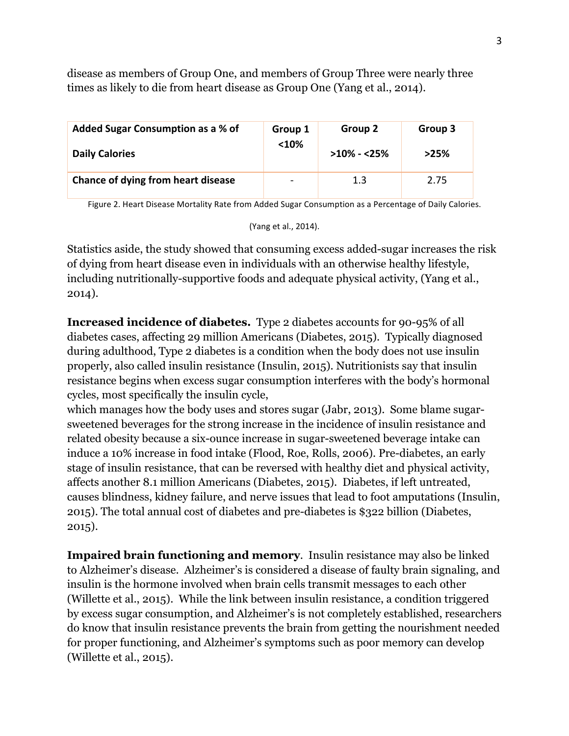disease as members of Group One, and members of Group Three were nearly three times as likely to die from heart disease as Group One (Yang et al., 2014).

| Added Sugar Consumption as a % of  | Group 1                  | Group 2        | Group 3 |
|------------------------------------|--------------------------|----------------|---------|
| <b>Daily Calories</b>              | $<$ 10%                  | $>10\% - 25\%$ | >25%    |
| Chance of dying from heart disease | $\overline{\phantom{0}}$ | 1.3            | 2.75    |

Figure 2. Heart Disease Mortality Rate from Added Sugar Consumption as a Percentage of Daily Calories.

(Yang et al., 2014).

Statistics aside, the study showed that consuming excess added-sugar increases the risk of dying from heart disease even in individuals with an otherwise healthy lifestyle, including nutritionally-supportive foods and adequate physical activity, (Yang et al., 2014).

**Increased incidence of diabetes.** Type 2 diabetes accounts for 90-95% of all diabetes cases, affecting 29 million Americans (Diabetes, 2015). Typically diagnosed during adulthood, Type 2 diabetes is a condition when the body does not use insulin properly, also called insulin resistance (Insulin, 2015). Nutritionists say that insulin resistance begins when excess sugar consumption interferes with the body's hormonal cycles, most specifically the insulin cycle,

which manages how the body uses and stores sugar (Jabr, 2013). Some blame sugarsweetened beverages for the strong increase in the incidence of insulin resistance and related obesity because a six-ounce increase in sugar-sweetened beverage intake can induce a 10% increase in food intake (Flood, Roe, Rolls, 2006). Pre-diabetes, an early stage of insulin resistance, that can be reversed with healthy diet and physical activity, affects another 8.1 million Americans (Diabetes, 2015). Diabetes, if left untreated, causes blindness, kidney failure, and nerve issues that lead to foot amputations (Insulin, 2015). The total annual cost of diabetes and pre-diabetes is \$322 billion (Diabetes, 2015).

**Impaired brain functioning and memory**. Insulin resistance may also be linked to Alzheimer's disease. Alzheimer's is considered a disease of faulty brain signaling, and insulin is the hormone involved when brain cells transmit messages to each other (Willette et al., 2015). While the link between insulin resistance, a condition triggered by excess sugar consumption, and Alzheimer's is not completely established, researchers do know that insulin resistance prevents the brain from getting the nourishment needed for proper functioning, and Alzheimer's symptoms such as poor memory can develop (Willette et al., 2015).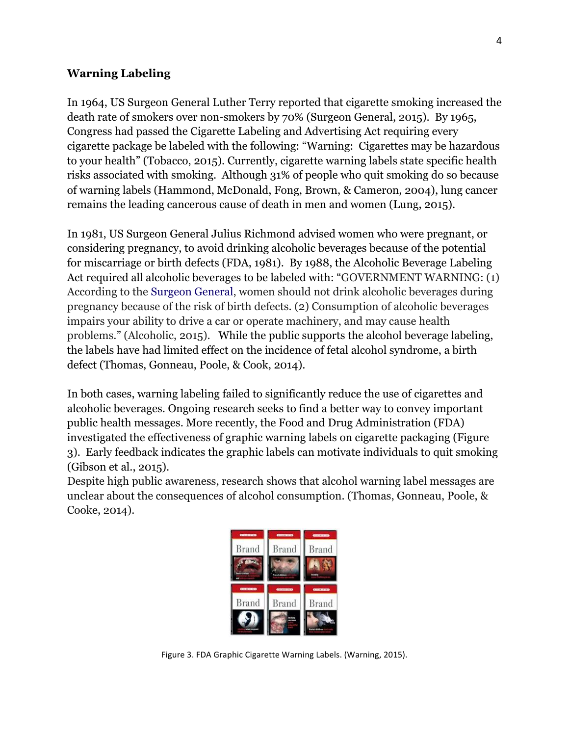### **Warning Labeling**

In 1964, US Surgeon General Luther Terry reported that cigarette smoking increased the death rate of smokers over non-smokers by 70% (Surgeon General, 2015). By 1965, Congress had passed the Cigarette Labeling and Advertising Act requiring every cigarette package be labeled with the following: "Warning: Cigarettes may be hazardous to your health" (Tobacco, 2015). Currently, cigarette warning labels state specific health risks associated with smoking. Although 31% of people who quit smoking do so because of warning labels (Hammond, McDonald, Fong, Brown, & Cameron, 2004), lung cancer remains the leading cancerous cause of death in men and women (Lung, 2015).

In 1981, US Surgeon General Julius Richmond advised women who were pregnant, or considering pregnancy, to avoid drinking alcoholic beverages because of the potential for miscarriage or birth defects (FDA, 1981). By 1988, the Alcoholic Beverage Labeling Act required all alcoholic beverages to be labeled with: "GOVERNMENT WARNING: (1) According to the Surgeon General, women should not drink alcoholic beverages during pregnancy because of the risk of birth defects. (2) Consumption of alcoholic beverages impairs your ability to drive a car or operate machinery, and may cause health problems." (Alcoholic, 2015). While the public supports the alcohol beverage labeling, the labels have had limited effect on the incidence of fetal alcohol syndrome, a birth defect (Thomas, Gonneau, Poole, & Cook, 2014).

In both cases, warning labeling failed to significantly reduce the use of cigarettes and alcoholic beverages. Ongoing research seeks to find a better way to convey important public health messages. More recently, the Food and Drug Administration (FDA) investigated the effectiveness of graphic warning labels on cigarette packaging (Figure 3). Early feedback indicates the graphic labels can motivate individuals to quit smoking (Gibson et al., 2015).

Despite high public awareness, research shows that alcohol warning label messages are unclear about the consequences of alcohol consumption. (Thomas, Gonneau, Poole, & Cooke, 2014).



Figure 3. FDA Graphic Cigarette Warning Labels. (Warning, 2015).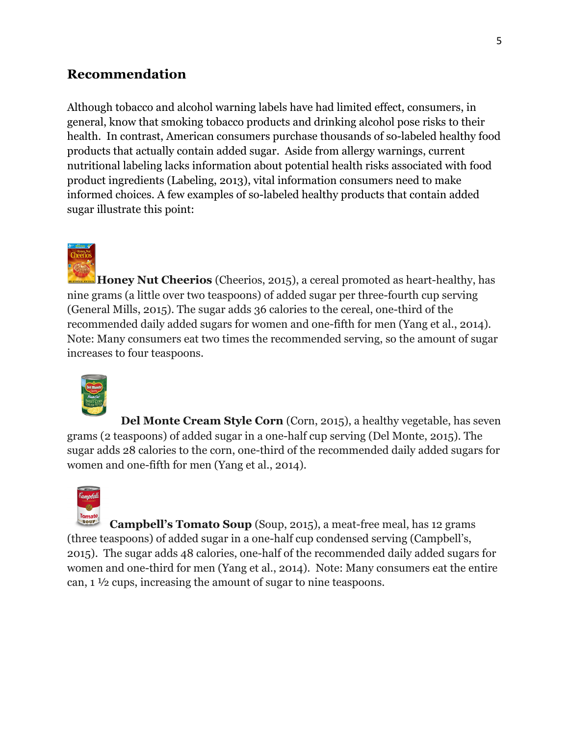# **Recommendation**

Although tobacco and alcohol warning labels have had limited effect, consumers, in general, know that smoking tobacco products and drinking alcohol pose risks to their health. In contrast, American consumers purchase thousands of so-labeled healthy food products that actually contain added sugar. Aside from allergy warnings, current nutritional labeling lacks information about potential health risks associated with food product ingredients (Labeling, 2013), vital information consumers need to make informed choices. A few examples of so-labeled healthy products that contain added sugar illustrate this point:



**Honey Nut Cheerios** (Cheerios, 2015), a cereal promoted as heart-healthy, has nine grams (a little over two teaspoons) of added sugar per three-fourth cup serving (General Mills, 2015). The sugar adds 36 calories to the cereal, one-third of the recommended daily added sugars for women and one-fifth for men (Yang et al., 2014). Note: Many consumers eat two times the recommended serving, so the amount of sugar increases to four teaspoons.



**Del Monte Cream Style Corn** (Corn, 2015), a healthy vegetable, has seven grams (2 teaspoons) of added sugar in a one-half cup serving (Del Monte, 2015). The sugar adds 28 calories to the corn, one-third of the recommended daily added sugars for women and one-fifth for men (Yang et al., 2014).



**Campbell's Tomato Soup** (Soup, 2015), a meat-free meal, has 12 grams (three teaspoons) of added sugar in a one-half cup condensed serving (Campbell's, 2015). The sugar adds 48 calories, one-half of the recommended daily added sugars for women and one-third for men (Yang et al., 2014). Note: Many consumers eat the entire can, 1 ½ cups, increasing the amount of sugar to nine teaspoons.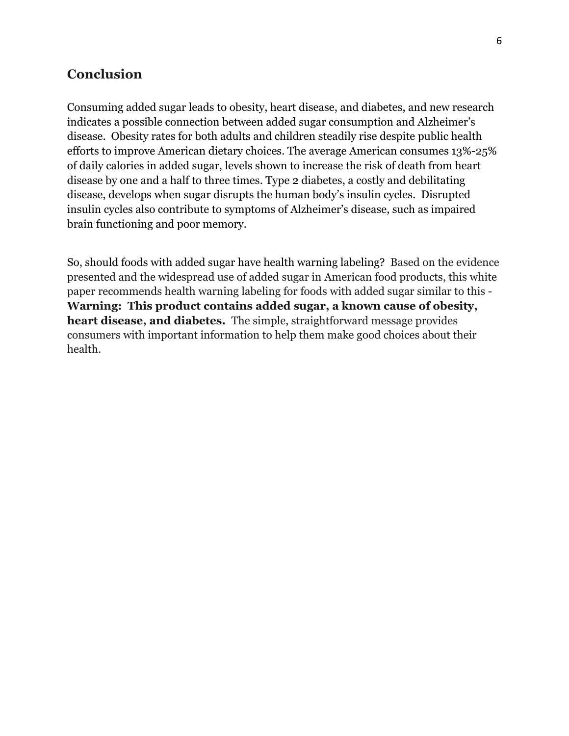### **Conclusion**

Consuming added sugar leads to obesity, heart disease, and diabetes, and new research indicates a possible connection between added sugar consumption and Alzheimer's disease. Obesity rates for both adults and children steadily rise despite public health efforts to improve American dietary choices. The average American consumes 13%-25% of daily calories in added sugar, levels shown to increase the risk of death from heart disease by one and a half to three times. Type 2 diabetes, a costly and debilitating disease, develops when sugar disrupts the human body's insulin cycles. Disrupted insulin cycles also contribute to symptoms of Alzheimer's disease, such as impaired brain functioning and poor memory.

So, should foods with added sugar have health warning labeling? Based on the evidence presented and the widespread use of added sugar in American food products, this white paper recommends health warning labeling for foods with added sugar similar to this - **Warning: This product contains added sugar, a known cause of obesity, heart disease, and diabetes.** The simple, straightforward message provides consumers with important information to help them make good choices about their health.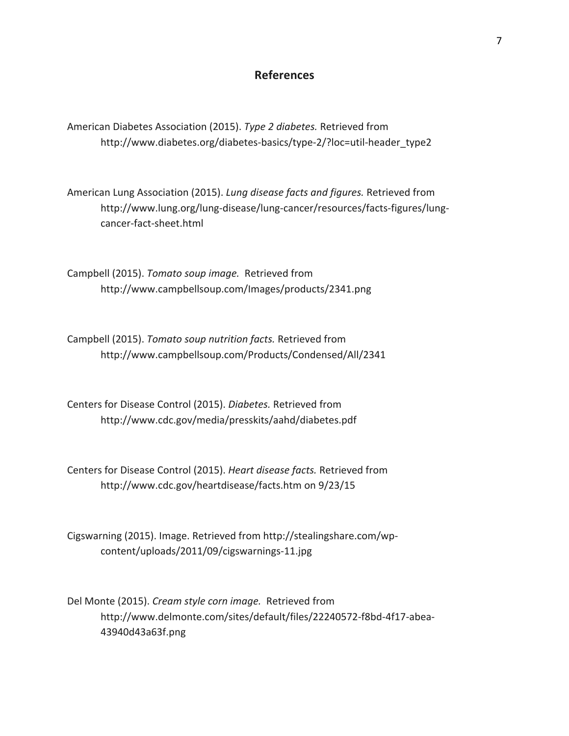#### **References**

American Diabetes Association (2015). *Type 2 diabetes.* Retrieved from http://www.diabetes.org/diabetes-basics/type-2/?loc=util-header\_type2

American Lung Association (2015). *Lung disease facts and figures.* Retrieved from http://www.lung.org/lung-disease/lung-cancer/resources/facts-figures/lungcancer-fact-sheet.html

Campbell (2015). *Tomato soup image*. Retrieved from http://www.campbellsoup.com/Images/products/2341.png

Campbell (2015). *Tomato soup nutrition facts.* Retrieved from http://www.campbellsoup.com/Products/Condensed/All/2341

Centers for Disease Control (2015). *Diabetes*. Retrieved from http://www.cdc.gov/media/presskits/aahd/diabetes.pdf

Centers for Disease Control (2015). *Heart disease facts.* Retrieved from http://www.cdc.gov/heartdisease/facts.htm on 9/23/15

Cigswarning (2015). Image. Retrieved from http://stealingshare.com/wpcontent/uploads/2011/09/cigswarnings-11.jpg

Del Monte (2015). *Cream style corn image.* Retrieved from http://www.delmonte.com/sites/default/files/22240572-f8bd-4f17-abea-43940d43a63f.png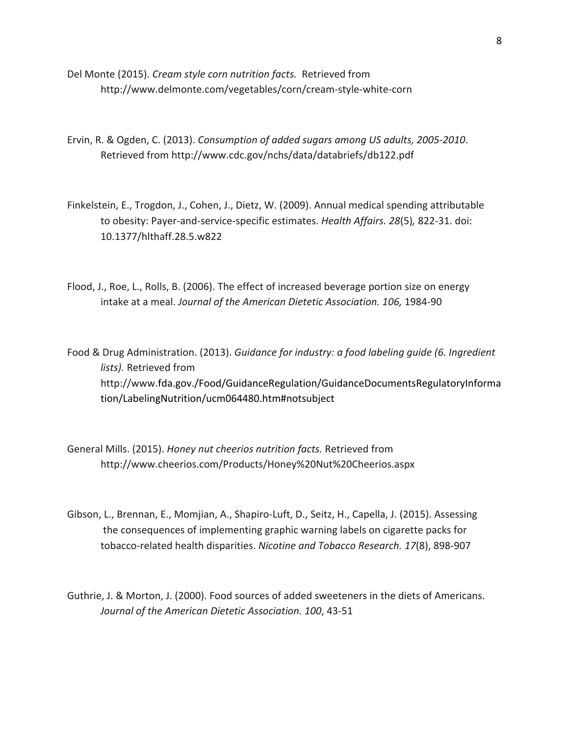- Del Monte (2015). *Cream style corn nutrition facts.* Retrieved from http://www.delmonte.com/vegetables/corn/cream-style-white-corn
- Ervin, R. & Ogden, C. (2013). *Consumption of added sugars among US adults, 2005-2010*. Retrieved from http://www.cdc.gov/nchs/data/databriefs/db122.pdf
- Finkelstein, E., Trogdon, J., Cohen, J., Dietz, W. (2009). Annual medical spending attributable to obesity: Payer-and-service-specific estimates. *Health Affairs. 28*(5), 822-31. doi: 10.1377/hlthaff.28.5.w822
- Flood, J., Roe, L., Rolls, B. (2006). The effect of increased beverage portion size on energy intake at a meal. Journal of the American Dietetic Association. 106, 1984-90
- Food & Drug Administration. (2013). *Guidance for industry: a food labeling guide (6. Ingredient lists*). Retrieved from http://www.fda.gov./Food/GuidanceRegulation/GuidanceDocumentsRegulatoryInforma tion/LabelingNutrition/ucm064480.htm#notsubject!
- General Mills. (2015). *Honey nut cheerios nutrition facts.* Retrieved from http://www.cheerios.com/Products/Honey%20Nut%20Cheerios.aspx
- Gibson, L., Brennan, E., Momjian, A., Shapiro-Luft, D., Seitz, H., Capella, J. (2015). Assessing the consequences of implementing graphic warning labels on cigarette packs for tobacco-related health disparities. *Nicotine and Tobacco Research. 17*(8), 898-907
- Guthrie, J. & Morton, J. (2000). Food sources of added sweeteners in the diets of Americans. Journal of the American Dietetic Association. 100, 43-51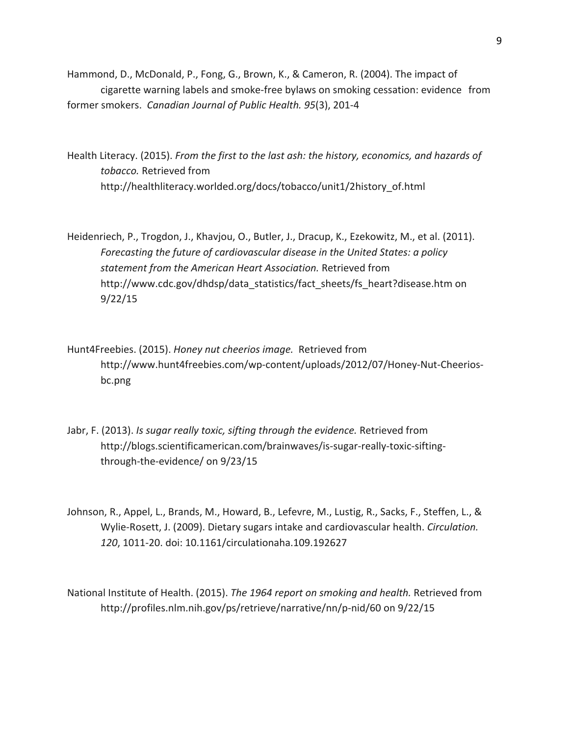Hammond, D., McDonald, P., Fong, G., Brown, K., & Cameron, R. (2004). The impact of cigarette warning labels and smoke-free bylaws on smoking cessation: evidence from former smokers. Canadian Journal of Public Health. 95(3), 201-4

Health Literacy. (2015). *From the first to the last ash: the history, economics, and hazards of tobacco.* Retrieved from http://healthliteracy.worlded.org/docs/tobacco/unit1/2history\_of.html

Heidenriech, P., Trogdon, J., Khavjou, O., Butler, J., Dracup, K., Ezekowitz, M., et al. (2011). Forecasting the future of cardiovascular disease in the United States: a policy statement from the American Heart Association. Retrieved from http://www.cdc.gov/dhdsp/data\_statistics/fact\_sheets/fs\_heart?disease.htm on 9/22/15

- Hunt4Freebies. (2015). *Honey nut cheerios image*. Retrieved from http://www.hunt4freebies.com/wp-content/uploads/2012/07/Honey-Nut-Cheeriosbc.png
- Jabr, F. (2013). *Is sugar really toxic, sifting through the evidence.* Retrieved from http://blogs.scientificamerican.com/brainwaves/is-sugar-really-toxic-siftingthrough-the-evidence/ on 9/23/15
- Johnson, R., Appel, L., Brands, M., Howard, B., Lefevre, M., Lustig, R., Sacks, F., Steffen, L., & Wylie-Rosett, J. (2009). Dietary sugars intake and cardiovascular health. *Circulation.* 120, 1011-20. doi: 10.1161/circulationaha.109.192627
- National Institute of Health. (2015). *The 1964 report on smoking and health.* Retrieved from http://profiles.nlm.nih.gov/ps/retrieve/narrative/nn/p-nid/60 on 9/22/15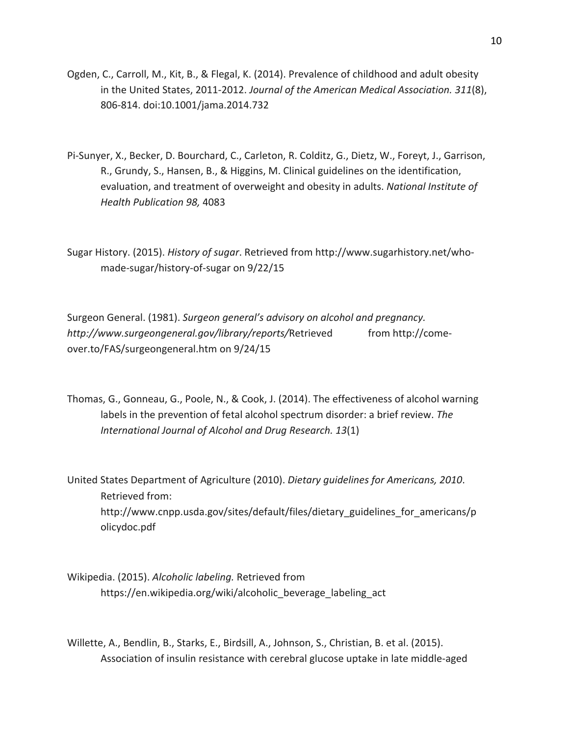- Ogden, C., Carroll, M., Kit, B., & Flegal, K. (2014). Prevalence of childhood and adult obesity in the United States, 2011-2012. Journal of the American Medical Association. 311(8), 806-814. doi:10.1001/jama.2014.732
- Pi-Sunyer, X., Becker, D. Bourchard, C., Carleton, R. Colditz, G., Dietz, W., Foreyt, J., Garrison, R., Grundy, S., Hansen, B., & Higgins, M. Clinical guidelines on the identification, evaluation, and treatment of overweight and obesity in adults. *National Institute of Health%Publication%98,%*4083

Sugar History. (2015). *History of sugar*. Retrieved from http://www.sugarhistory.net/whomade-sugar/history-of-sugar on 9/22/15

Surgeon General. (1981). *Surgeon general's advisory on alcohol and pregnancy. http://www.surgeongeneral.gov/library/reports/*Retrieved! from!http://come' over.to/FAS/surgeongeneral.htm on 9/24/15

Thomas, G., Gonneau, G., Poole, N., & Cook, J. (2014). The effectiveness of alcohol warning labels in the prevention of fetal alcohol spectrum disorder: a brief review. *The International Journal of Alcohol and Drug Research. 13(1)* 

United States Department of Agriculture (2010). *Dietary guidelines for Americans, 2010*. Retrieved from: http://www.cnpp.usda.gov/sites/default/files/dietary\_guidelines\_for\_americans/p olicydoc.pdf

Wikipedia. (2015). *Alcoholic labeling*. Retrieved from https://en.wikipedia.org/wiki/alcoholic beverage labeling act

Willette, A., Bendlin, B., Starks, E., Birdsill, A., Johnson, S., Christian, B. et al. (2015). Association of insulin resistance with cerebral glucose uptake in late middle-aged